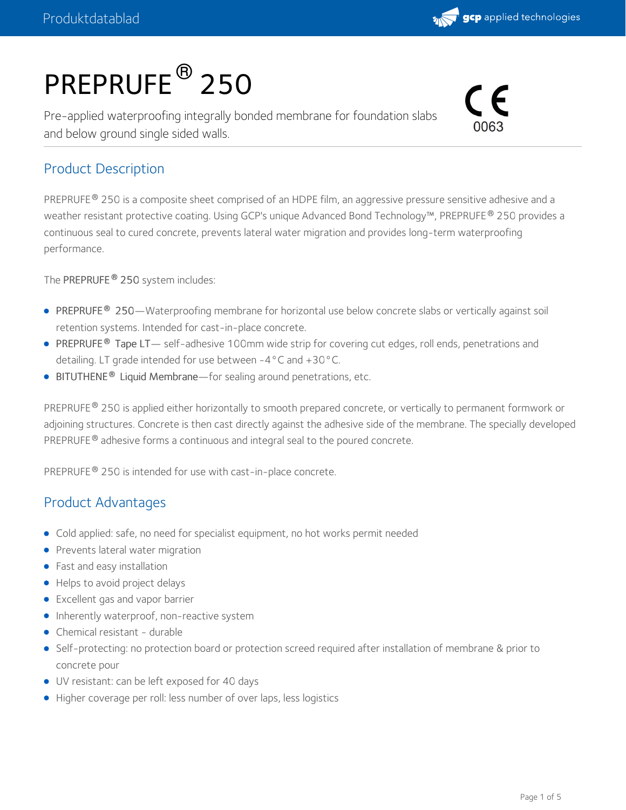

# PREPRUFE<sup>®</sup> 250

Pre-applied waterproofing integrally bonded membrane for foundation slabs and below ground single sided walls.



#### Product Description

PREPRUFE® 250 is a composite sheet comprised of an HDPE film, an aggressive pressure sensitive adhesive and a weather resistant protective coating. Using GCP's unique Advanced Bond Technology™, PREPRUFE® 250 provides a continuous seal to cured concrete, prevents lateral water migration and provides long-term waterproofing performance.

The PREPRUFE 250 system includes: **®**

- PREPRUFE 250—Waterproofing membrane for horizontal use below concrete slabs or vertically against soil **®** retention systems. Intended for cast-in-place concrete.
- PREPRUFE® Tape LT— self-adhesive 100mm wide strip for covering cut edges, roll ends, penetrations and detailing. LT grade intended for use between -4°C and +30°C.
- **BITUTHENE<sup>®</sup> Liquid Membrane**—for sealing around penetrations, etc.

PREPRUFE® 250 is applied either horizontally to smooth prepared concrete, or vertically to permanent formwork or adjoining structures. Concrete is then cast directly against the adhesive side of the membrane. The specially developed PREPRUFE  $^{\circledR}$  adhesive forms a continuous and integral seal to the poured concrete.

PREPRUFE® 250 is intended for use with cast-in-place concrete.

#### Product Advantages

- Cold applied: safe, no need for specialist equipment, no hot works permit needed
- **•** Prevents lateral water migration
- **•** Fast and easy installation
- Helps to avoid project delays
- Excellent gas and vapor barrier
- Inherently waterproof, non-reactive system
- Chemical resistant durable
- Self-protecting: no protection board or protection screed required after installation of membrane & prior to concrete pour
- UV resistant: can be left exposed for 40 days
- Higher coverage per roll: less number of over laps, less logistics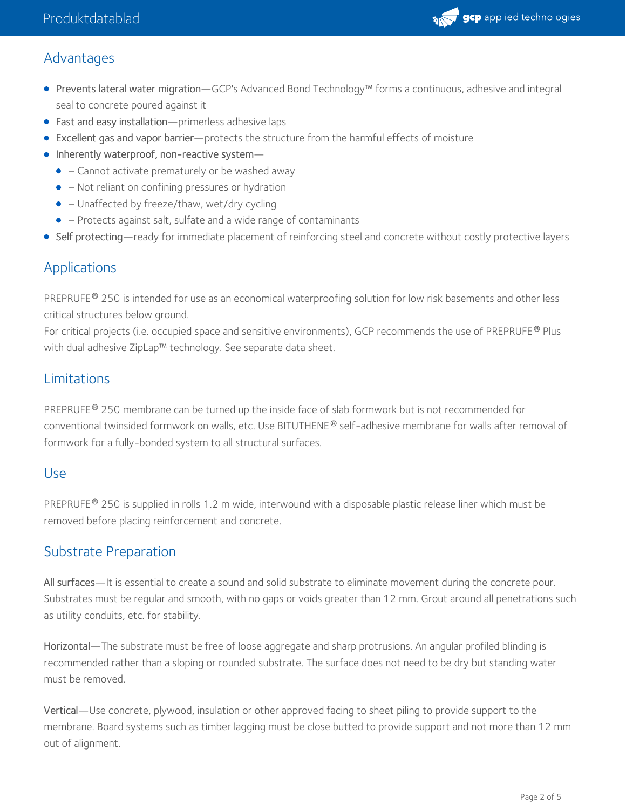

#### Advantages

- Prevents lateral water migration—GCP's Advanced Bond Technology™ forms a continuous, adhesive and integral seal to concrete poured against it
- Fast and easy installation—primerless adhesive laps
- Excellent gas and vapor barrier—protects the structure from the harmful effects of moisture
- Inherently waterproof, non-reactive system-
	- − Cannot activate prematurely or be washed away
	- − Not reliant on confining pressures or hydration
	- − Unaffected by freeze/thaw, wet/dry cycling
	- − Protects against salt, sulfate and a wide range of contaminants
- Self protecting—ready for immediate placement of reinforcing steel and concrete without costly protective layers

#### Applications

PREPRUFE® 250 is intended for use as an economical waterproofing solution for low risk basements and other less critical structures below ground.

For critical projects (i.e. occupied space and sensitive environments), GCP recommends the use of PREPRUFE® Plus with dual adhesive ZipLap™ technology. See separate data sheet.

#### Limitations

PREPRUFE® 250 membrane can be turned up the inside face of slab formwork but is not recommended for conventional twinsided formwork on walls, etc. Use BITUTHENE® self-adhesive membrane for walls after removal of formwork for a fully-bonded system to all structural surfaces.

#### Use

PREPRUFE® 250 is supplied in rolls 1.2 m wide, interwound with a disposable plastic release liner which must be removed before placing reinforcement and concrete.

#### Substrate Preparation

All surfaces—It is essential to create a sound and solid substrate to eliminate movement during the concrete pour. Substrates must be regular and smooth, with no gaps or voids greater than 12 mm. Grout around all penetrations such as utility conduits, etc. for stability.

Horizontal—The substrate must be free of loose aggregate and sharp protrusions. An angular profiled blinding is recommended rather than a sloping or rounded substrate. The surface does not need to be dry but standing water must be removed.

Vertical—Use concrete, plywood, insulation or other approved facing to sheet piling to provide support to the membrane. Board systems such as timber lagging must be close butted to provide support and not more than 12 mm out of alignment.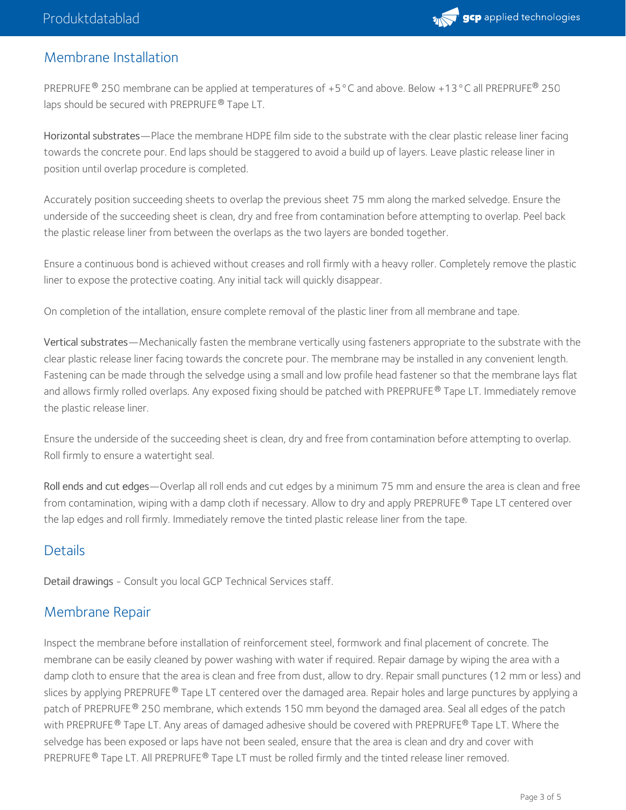

#### Membrane Installation

PREPRUFE  $^{\circledR}$  250 membrane can be applied at temperatures of +5 °C and above. Below +13 °C all PREPRUFE  $^{\circledR}$  250 laps should be secured with PREPRUFE® Tape LT.

Horizontal substrates—Place the membrane HDPE film side to the substrate with the clear plastic release liner facing towards the concrete pour. End laps should be staggered to avoid a build up of layers. Leave plastic release liner in position until overlap procedure is completed.

Accurately position succeeding sheets to overlap the previous sheet 75 mm along the marked selvedge. Ensure the underside of the succeeding sheet is clean, dry and free from contamination before attempting to overlap. Peel back the plastic release liner from between the overlaps as the two layers are bonded together.

Ensure a continuous bond is achieved without creases and roll firmly with a heavy roller. Completely remove the plastic liner to expose the protective coating. Any initial tack will quickly disappear.

On completion of the intallation, ensure complete removal of the plastic liner from all membrane and tape.

Vertical substrates—Mechanically fasten the membrane vertically using fasteners appropriate to the substrate with the clear plastic release liner facing towards the concrete pour. The membrane may be installed in any convenient length. Fastening can be made through the selvedge using a small and low profile head fastener so that the membrane lays flat and allows firmly rolled overlaps. Any exposed fixing should be patched with PREPRUFE® Tape LT. Immediately remove the plastic release liner.

Ensure the underside of the succeeding sheet is clean, dry and free from contamination before attempting to overlap. Roll firmly to ensure a watertight seal.

Roll ends and cut edges—Overlap all roll ends and cut edges by a minimum 75 mm and ensure the area is clean and free from contamination, wiping with a damp cloth if necessary. Allow to dry and apply PREPRUFE® Tape LT centered over the lap edges and roll firmly. Immediately remove the tinted plastic release liner from the tape.

#### **Details**

Detail drawings - Consult you local GCP Technical Services staff.

#### Membrane Repair

Inspect the membrane before installation of reinforcement steel, formwork and final placement of concrete. The membrane can be easily cleaned by power washing with water if required. Repair damage by wiping the area with a damp cloth to ensure that the area is clean and free from dust, allow to dry. Repair small punctures (12 mm or less) and slices by applying PREPRUFE® Tape LT centered over the damaged area. Repair holes and large punctures by applying a patch of PREPRUFE® 250 membrane, which extends 150 mm beyond the damaged area. Seal all edges of the patch with PREPRUFE  $^\circledR$  Tape LT. Any areas of damaged adhesive should be covered with PREPRUFE  $^\circledR$  Tape LT. Where the selvedge has been exposed or laps have not been sealed, ensure that the area is clean and dry and cover with PREPRUFE  $^\circledR$  Tape LT. All PREPRUFE  $^\circledR$  Tape LT must be rolled firmly and the tinted release liner removed.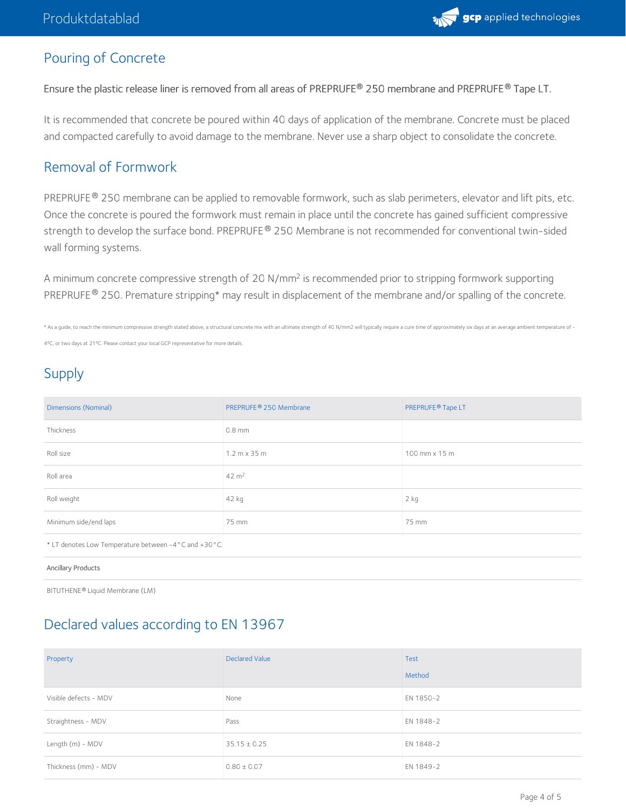

## Pouring of Concrete

Ensure the plastic release liner is removed from all areas of PREPRUFE 250 membrane and PREPRUFE Tape LT. **® ®**

It is recommended that concrete be poured within 40 days of application of the membrane. Concrete must be placed and compacted carefully to avoid damage to the membrane. Never use a sharp object to consolidate the concrete.

#### Removal of Formwork

PREPRUFE ® 250 membrane can be applied to removable formwork, such as slab perimeters, elevator and lift pits, etc. Once the concrete is poured the formwork must remain in place until the concrete has gained sufficient compressive strength to develop the surface bond. PREPRUFE® 250 Membrane is not recommended for conventional twin-sided wall forming systems.

A minimum concrete compressive strength of 20 N/mm<sup>2</sup> is recommended prior to stripping formwork supporting PREPRUFE® 250. Premature stripping\* may result in displacement of the membrane and/or spalling of the concrete.

\* As a quide, to reach the minimum compressive strength stated above, a structural concrete mix with an ultimate strength of 40 N/mm2 will typically require a cure time of approximately six days at an average ambient tempe

4ºC, or two days at 21ºC. Please contact your local GCP representative for more details.

# Supply

| <b>Dimensions (Nominal)</b>                          | PREPRUFE <sup>®</sup> 250 Membrane  | PREPRUFE <sup>®</sup> Tape LT |  |  |
|------------------------------------------------------|-------------------------------------|-------------------------------|--|--|
| Thickness                                            | $0.8$ mm                            |                               |  |  |
| Roll size                                            | $1.2 \text{ m} \times 35 \text{ m}$ | 100 mm x 15 m                 |  |  |
| Roll area                                            | $42 \text{ m}^2$                    |                               |  |  |
| Roll weight                                          | 42 kg                               | 2 kg                          |  |  |
| Minimum side/end laps                                | 75 mm                               | 75 mm                         |  |  |
| * LT denotes Low Temperature between -4°C and +30°C. |                                     |                               |  |  |
| <b>Ancillary Products</b>                            |                                     |                               |  |  |
| BITUTHENE® Liquid Membrane (LM)                      |                                     |                               |  |  |

### Declared values according to EN 13967

| Property              | <b>Declared Value</b> | <b>Test</b> |
|-----------------------|-----------------------|-------------|
|                       |                       | Method      |
| Visible defects - MDV | None                  | EN 1850-2   |
| Straightness - MDV    | Pass                  | EN 1848-2   |
| Length (m) - MDV      | $35.15 \pm 0.25$      | EN 1848-2   |
| Thickness (mm) - MDV  | $0.80 \pm 0.07$       | EN 1849-2   |